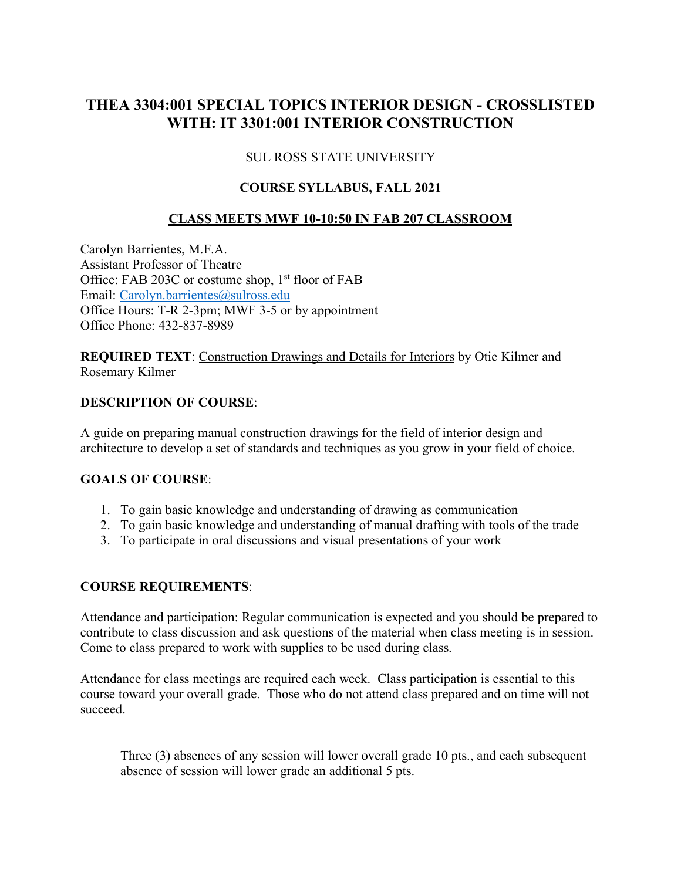# **THEA 3304:001 SPECIAL TOPICS INTERIOR DESIGN - CROSSLISTED WITH: IT 3301:001 INTERIOR CONSTRUCTION**

# SUL ROSS STATE UNIVERSITY

### **COURSE SYLLABUS, FALL 2021**

### **CLASS MEETS MWF 10-10:50 IN FAB 207 CLASSROOM**

Carolyn Barrientes, M.F.A. Assistant Professor of Theatre Office: FAB 203C or costume shop, 1<sup>st</sup> floor of FAB Email: Carolyn.barrientes@sulross.edu Office Hours: T-R 2-3pm; MWF 3-5 or by appointment Office Phone: 432-837-8989

**REQUIRED TEXT**: Construction Drawings and Details for Interiors by Otie Kilmer and Rosemary Kilmer

#### **DESCRIPTION OF COURSE**:

A guide on preparing manual construction drawings for the field of interior design and architecture to develop a set of standards and techniques as you grow in your field of choice.

#### **GOALS OF COURSE**:

- 1. To gain basic knowledge and understanding of drawing as communication
- 2. To gain basic knowledge and understanding of manual drafting with tools of the trade
- 3. To participate in oral discussions and visual presentations of your work

#### **COURSE REQUIREMENTS**:

Attendance and participation: Regular communication is expected and you should be prepared to contribute to class discussion and ask questions of the material when class meeting is in session. Come to class prepared to work with supplies to be used during class.

Attendance for class meetings are required each week. Class participation is essential to this course toward your overall grade. Those who do not attend class prepared and on time will not succeed.

Three (3) absences of any session will lower overall grade 10 pts., and each subsequent absence of session will lower grade an additional 5 pts.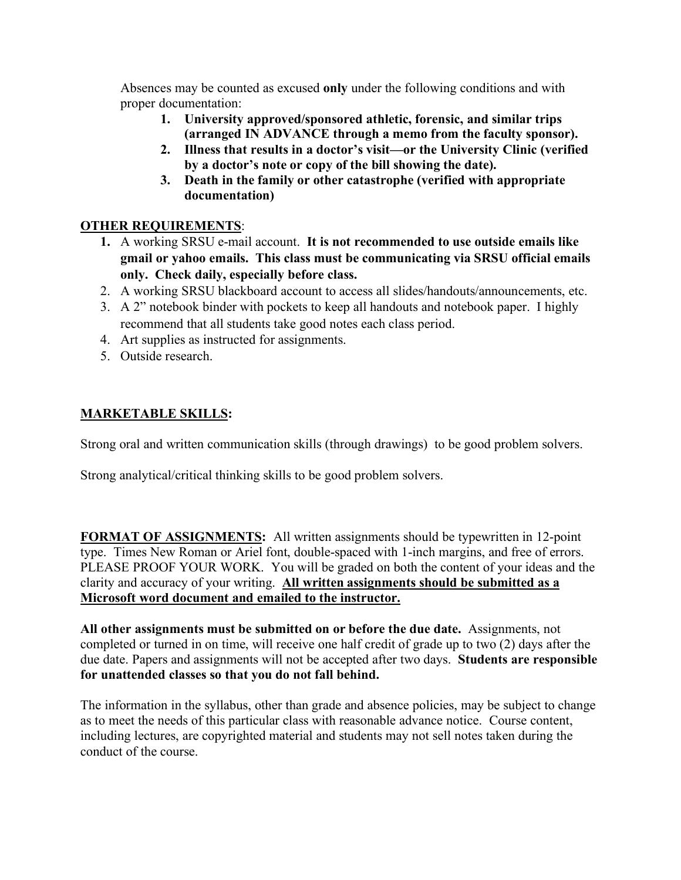Absences may be counted as excused **only** under the following conditions and with proper documentation:

- **1. University approved/sponsored athletic, forensic, and similar trips (arranged IN ADVANCE through a memo from the faculty sponsor).**
- **2. Illness that results in a doctor's visit—or the University Clinic (verified by a doctor's note or copy of the bill showing the date).**
- **3. Death in the family or other catastrophe (verified with appropriate documentation)**

# **OTHER REQUIREMENTS**:

- **1.** A working SRSU e-mail account. **It is not recommended to use outside emails like gmail or yahoo emails. This class must be communicating via SRSU official emails only. Check daily, especially before class.**
- 2. A working SRSU blackboard account to access all slides/handouts/announcements, etc.
- 3. A 2" notebook binder with pockets to keep all handouts and notebook paper. I highly recommend that all students take good notes each class period.
- 4. Art supplies as instructed for assignments.
- 5. Outside research.

# **MARKETABLE SKILLS:**

Strong oral and written communication skills (through drawings) to be good problem solvers.

Strong analytical/critical thinking skills to be good problem solvers.

**FORMAT OF ASSIGNMENTS:** All written assignments should be typewritten in 12-point type. Times New Roman or Ariel font, double-spaced with 1-inch margins, and free of errors. PLEASE PROOF YOUR WORK. You will be graded on both the content of your ideas and the clarity and accuracy of your writing. **All written assignments should be submitted as a Microsoft word document and emailed to the instructor.**

**All other assignments must be submitted on or before the due date.** Assignments, not completed or turned in on time, will receive one half credit of grade up to two (2) days after the due date. Papers and assignments will not be accepted after two days. **Students are responsible for unattended classes so that you do not fall behind.**

The information in the syllabus, other than grade and absence policies, may be subject to change as to meet the needs of this particular class with reasonable advance notice. Course content, including lectures, are copyrighted material and students may not sell notes taken during the conduct of the course.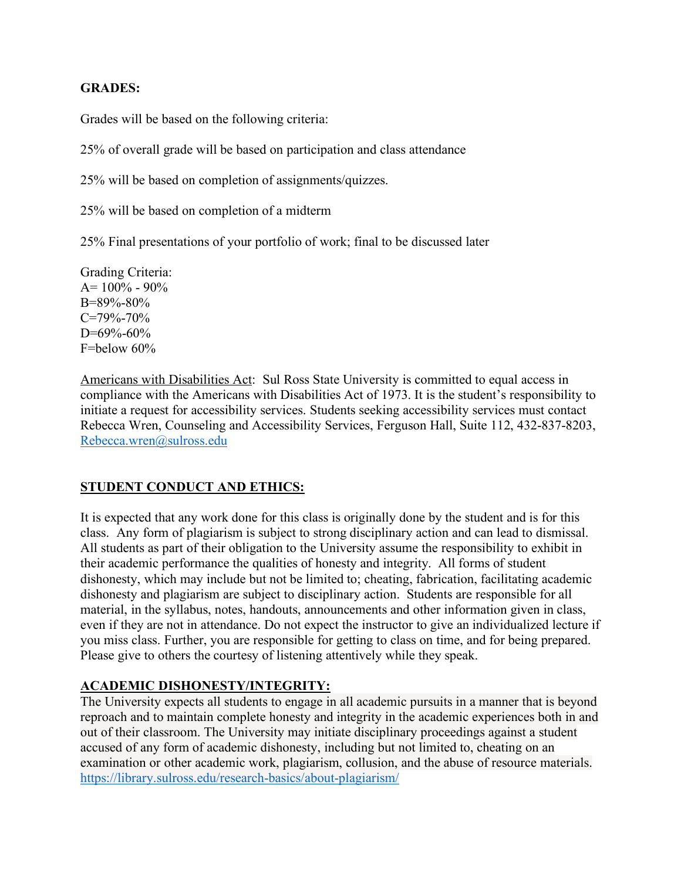# **GRADES:**

Grades will be based on the following criteria:

25% of overall grade will be based on participation and class attendance

25% will be based on completion of assignments/quizzes.

25% will be based on completion of a midterm

25% Final presentations of your portfolio of work; final to be discussed later

Grading Criteria:  $A= 100\% - 90\%$ B=89%-80% C=79%-70%  $D=69\% - 60\%$ F=below 60%

Americans with Disabilities Act: Sul Ross State University is committed to equal access in compliance with the Americans with Disabilities Act of 1973. It is the student's responsibility to initiate a request for accessibility services. Students seeking accessibility services must contact Rebecca Wren, Counseling and Accessibility Services, Ferguson Hall, Suite 112, 432-837-8203, Rebecca.wren@sulross.edu

# **STUDENT CONDUCT AND ETHICS:**

It is expected that any work done for this class is originally done by the student and is for this class. Any form of plagiarism is subject to strong disciplinary action and can lead to dismissal. All students as part of their obligation to the University assume the responsibility to exhibit in their academic performance the qualities of honesty and integrity. All forms of student dishonesty, which may include but not be limited to; cheating, fabrication, facilitating academic dishonesty and plagiarism are subject to disciplinary action. Students are responsible for all material, in the syllabus, notes, handouts, announcements and other information given in class, even if they are not in attendance. Do not expect the instructor to give an individualized lecture if you miss class. Further, you are responsible for getting to class on time, and for being prepared. Please give to others the courtesy of listening attentively while they speak.

# **ACADEMIC DISHONESTY/INTEGRITY:**

The University expects all students to engage in all academic pursuits in a manner that is beyond reproach and to maintain complete honesty and integrity in the academic experiences both in and out of their classroom. The University may initiate disciplinary proceedings against a student accused of any form of academic dishonesty, including but not limited to, cheating on an examination or other academic work, plagiarism, collusion, and the abuse of resource materials. https://library.sulross.edu/research-basics/about-plagiarism/